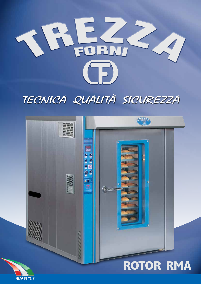

# TECNICA QUALITÀ SICUREZZA